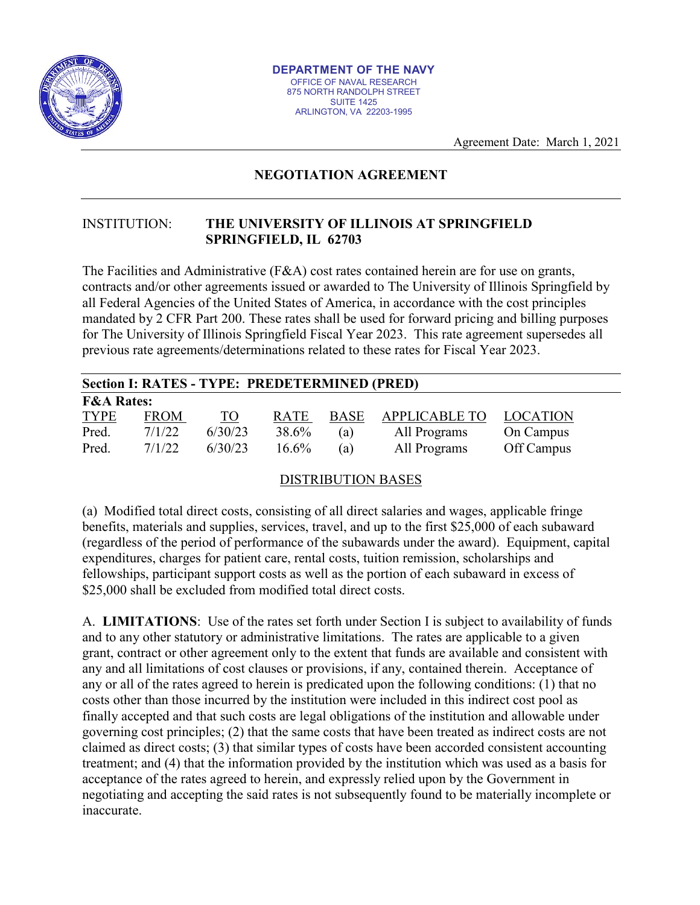

Agreement Date: March 1, 2021

## **NEGOTIATION AGREEMENT**

## INSTITUTION: **THE UNIVERSITY OF ILLINOIS AT SPRINGFIELD SPRINGFIELD, IL 62703**

The Facilities and Administrative (F&A) cost rates contained herein are for use on grants, contracts and/or other agreements issued or awarded to The University of Illinois Springfield by all Federal Agencies of the United States of America, in accordance with the cost principles mandated by 2 CFR Part 200. These rates shall be used for forward pricing and billing purposes for The University of Illinois Springfield Fiscal Year 2023. This rate agreement supersedes all previous rate agreements/determinations related to these rates for Fiscal Year 2023.

| Section I: RATES - TYPE: PREDETERMINED (PRED) |             |           |             |             |                      |                 |
|-----------------------------------------------|-------------|-----------|-------------|-------------|----------------------|-----------------|
| <b>F&amp;A Rates:</b>                         |             |           |             |             |                      |                 |
| <b>TYPE</b>                                   | <b>FROM</b> | <u>TO</u> | <b>RATE</b> | <b>BASE</b> | <b>APPLICABLE TO</b> | <b>LOCATION</b> |
| Pred.                                         | 7/1/22      | 6/30/23   | 38.6%       | (a)         | All Programs         | On Campus       |
| Pred.                                         | 7/1/22      | 6/30/23   | 16.6%       | (a)         | All Programs         | Off Campus      |

## DISTRIBUTION BASES

(a) Modified total direct costs, consisting of all direct salaries and wages, applicable fringe benefits, materials and supplies, services, travel, and up to the first \$25,000 of each subaward (regardless of the period of performance of the subawards under the award). Equipment, capital expenditures, charges for patient care, rental costs, tuition remission, scholarships and fellowships, participant support costs as well as the portion of each subaward in excess of \$25,000 shall be excluded from modified total direct costs.

A. **LIMITATIONS**: Use of the rates set forth under Section I is subject to availability of funds and to any other statutory or administrative limitations. The rates are applicable to a given grant, contract or other agreement only to the extent that funds are available and consistent with any and all limitations of cost clauses or provisions, if any, contained therein. Acceptance of any or all of the rates agreed to herein is predicated upon the following conditions: (1) that no costs other than those incurred by the institution were included in this indirect cost pool as finally accepted and that such costs are legal obligations of the institution and allowable under governing cost principles; (2) that the same costs that have been treated as indirect costs are not claimed as direct costs; (3) that similar types of costs have been accorded consistent accounting treatment; and (4) that the information provided by the institution which was used as a basis for acceptance of the rates agreed to herein, and expressly relied upon by the Government in negotiating and accepting the said rates is not subsequently found to be materially incomplete or inaccurate.